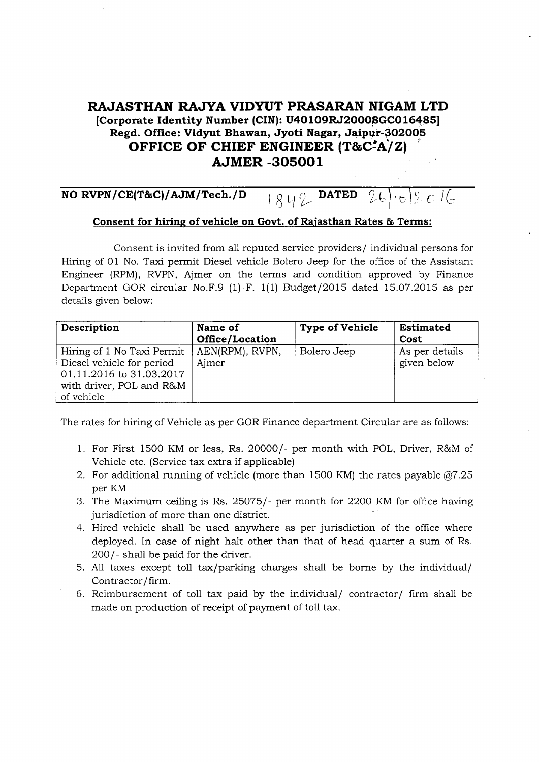## RAJASTHAN RAJYA VIDYUT PRASARAN NIGAM LTD [Corporate Identity Number (CIN): U40109RJ2000SGC016485] Regd. Office: Vidyut Bhawan, Jyoti Nagar, Jaipur-3O2OOs OFFICE OF CHIEF ENGINEER  $(T&C^2A/Z)$ AJMER.3O5OO1

## NO RVPN/CE(T&C)/AJM/Tech./D i g v  $\ell$  DATED  $26$  is  $2e$  ig .

## Consent for hiring of vehicle on Govt. of Rajasthan Rates & Terms:

Consent is invited from all reputed service providers/ individual persons for Hiring of O1 No. Taxi permit Diesel vehicle Bolero Jeep for the office of the Assistant Engineer (RPM), RVPN, Ajmer on the terms and condition approved by Finance Department GOR circular No.F.9 (i) F. 1(1) Budget/2Ol5 dated 15.07.2015 as per details given below:

| Description                                                                                                                   | Name of<br>Office/Location | <b>Type of Vehicle</b> | <b>Estimated</b><br>Cost      |
|-------------------------------------------------------------------------------------------------------------------------------|----------------------------|------------------------|-------------------------------|
| Hiring of 1 No Taxi Permit<br>Diesel vehicle for period<br>01.11.2016 to 31.03.2017<br>with driver, POL and R&M<br>of vehicle | AEN(RPM), RVPN,<br>Aimer   | Bolero Jeep            | As per details<br>given below |

The rates for hiring of Vehicle as per GOR Finance department Circular are as follows:

- 1. For First 1500 KM or less, Rs. 20000/- per month with POL, Driver, R&M of Vehicle etc. (Service tax extra if applicable)
- 2. For additional running of vehicle (more than 1500 KM) the rates payable  $@7.25$ per KM
- 3. The Maximum ceiling is Rs. 25075/- per month for 22OO KM for of{ice having iurisdiction of more than one district.
- 4. Hired vehicle shall be used anywhere as per jurisdiction of the office where deployed. In case of night halt other than that of head quarter a sum of Rs. 200/- shall be paid for the driver.
- 5. All taxes except toll tax/parking charges shall be borne by the individual Contractor/firm.
- 6. Reimbursement of toll tax paid by the individual/  $\text{contractor}/$  firm shall be made on production of receipt of payment of toll tax.